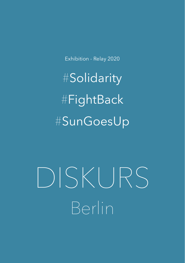Exhibition - Relay 2020

#Solidarity #FightBack #SunGoesUp

DISKURS Berlin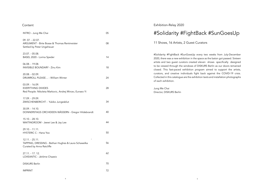## Content

| INTRO - Jung Me Chai                                                                                    | 05 | #Solidarity #FightBack #SunGoesUp                                                                                                                                                                                                                                                                                                                                                           |
|---------------------------------------------------------------------------------------------------------|----|---------------------------------------------------------------------------------------------------------------------------------------------------------------------------------------------------------------------------------------------------------------------------------------------------------------------------------------------------------------------------------------------|
| 09.07. - 22.07.<br>ARGUMENT - Birte Bosse & Thomas Rentmeister<br>Settled by Peter Ungeheuer            | 08 | 11 Shows, 16 Artists, 2 Guest Curators                                                                                                                                                                                                                                                                                                                                                      |
| 23.07. - 05.08.<br>BASEL 2020 - Lorina Speder                                                           | 14 | #Solidarity #FightBack #SunGoesUp every two weeks from July-December<br>2020, there was a new exhibition in the space as the baton got passed. Sixteen<br>artists and two guest curators created eleven shows specifically designed<br>to be viewed through the windows of DISKURS Berlin as our doors remained<br>closed. This fast-paced exhibition program aimed to support the artists, |
| 06.08. - 19.08.<br><b>INVISIBLE BOUNDARY - Zinu Kim</b>                                                 | 18 |                                                                                                                                                                                                                                                                                                                                                                                             |
| 20.08. - 02.09.<br>DRUMROLL PLEASE - William Winter                                                     | 24 | curators, and creative individuals fight back against the COVID-19 crisis.<br>Collected in this catalogue are the exhibition texts and installation photographs<br>of each exhibition.                                                                                                                                                                                                      |
| 03.09. - 16.09.<br><b>EVERYTHING DIVIDES</b><br>Red People: Nikoleta Markovic, Andrej Mircev, Eunseo Yi | 28 | Jung Me Chai<br>Director, DISKURS Berlin                                                                                                                                                                                                                                                                                                                                                    |
| 17.09. - 29.09.<br>ZWISCHENBERICHT - Yukiko Jungesblut                                                  | 34 |                                                                                                                                                                                                                                                                                                                                                                                             |
| 30.09. - 14.10.<br>DONNERSTAGS ORCHIDEEN WÄSSERN - Gregor Hildebrandt                                   | 40 |                                                                                                                                                                                                                                                                                                                                                                                             |
| 15.10. - 28.10.<br>WAITINGROOM - Jeewi Lee & Jay Lee                                                    | 44 |                                                                                                                                                                                                                                                                                                                                                                                             |
| 29.10. - 11.11.<br>HYSTERIC C - Hana Yoo                                                                | 50 |                                                                                                                                                                                                                                                                                                                                                                                             |
| 12.11. - 25.11.<br>TAPPING, DRESSING - Bethan Hughes & Laura Schawelka<br>Curated by Anna Ratcliffe     | 56 |                                                                                                                                                                                                                                                                                                                                                                                             |
| $27.11 - 17.12$<br>LOVEANTIC - Jérôme Chazeix                                                           | 62 |                                                                                                                                                                                                                                                                                                                                                                                             |
| <b>DISKURS Berlin</b>                                                                                   | 70 |                                                                                                                                                                                                                                                                                                                                                                                             |
| <b>IMPRINT</b>                                                                                          | 72 |                                                                                                                                                                                                                                                                                                                                                                                             |

Exhibition-Relay 2020

4 5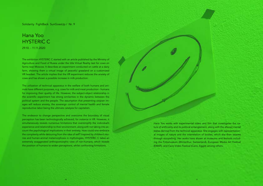Solidarity FightBack SunGoesUp / Nr. 9

## Hana Yoo HYSTERIC C 29.10. - 11.11.2020

The exhibition HYSTERIC C started with an article published by the Ministry of Agriculture and Food of Russia under the title Virtual Reality test for cows on farms near Moscow. It describes an experiment conducted on cattle at a dairy farm, showing them a virtual image of peaceful grassland on a customized VR headset. The article implies that the VR experiment reduces the anxiety of cows and has shown a possible increase in milk production.

The utilization of technical apparatus in the welfare of both humans and animals have different purposes, e.g. cows for milk and meat production - humans for improving their quality of life. However, the subject-object relationship in the scientific experiment has strong similarities in the dynamic between the political system and the people. The assumption that presenting utopian images will reduce anxiety, the sovereign control of mental health and female reproductive labor being the ultimate catalysis for capitalism.

The endeavor to change perspective and overcome the boundary of visual perception has been technologically achieved, for instance in VR. However, it simultaneously reveals numerous limitations that oversimplify the individual's experience and relationship to their environment, along with not taking into account the psychological implications in their entirety. How could one embrace the complexity while detouring from the idea of self? Inspired by children's stories and human-animal metamorphosis in mythologies, HYSTERIC C takes an extremely exaggerated anthropomorphic view of non-humans, which reveals the position of humans to widen perceptions, whilst confronting limitations.

Hana Yoo works with experimental video and film that investigates the nature of artifciality and its political entanglement, along with the altered mental states derived from the technical apparatus. She engages with representational images of nature and the interrelation of bodies, which she then weaves through storytelling. Her works have shown at museums and festivals including the Fotomuseum (Winterthur, Switzerland), European Media Art Festival (EMAF), and Cairo Video Festival (Cairo, Egypt) among others.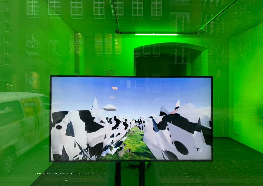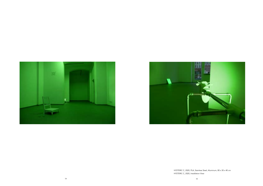



HYSTERIC C, 2020, PLA, Stainless Steel, Aluminum, 80 x 30 x 40 cm HYSTERIC C, 2020, Installation View